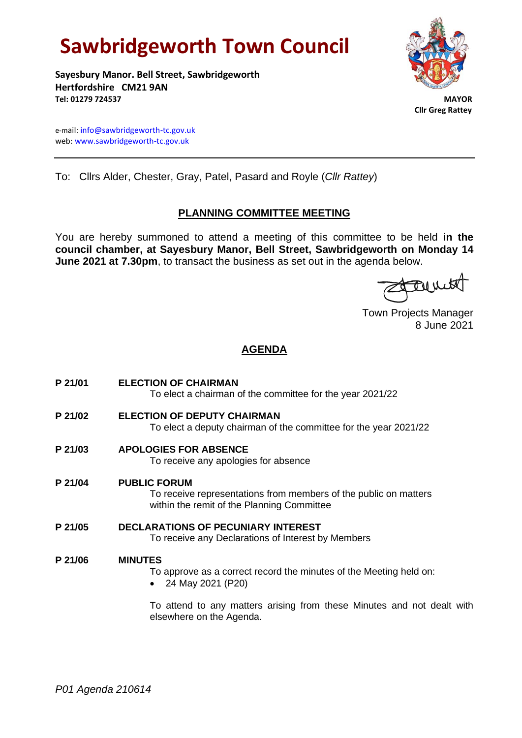# **Sawbridgeworth Town Council**

**Sayesbury Manor. Bell Street, Sawbridgeworth Hertfordshire CM21 9AN Tel: 01279 724537 MAYOR**



 **Cllr Greg Rattey**

e-mail[: info@sawbridgeworth-tc.gov.uk](mailto:info@sawbridgeworth-tc.gov.uk) web: www.sawbridgeworth-tc.gov.uk

To: Cllrs Alder, Chester, Gray, Patel, Pasard and Royle (*Cllr Rattey*)

# **PLANNING COMMITTEE MEETING**

You are hereby summoned to attend a meeting of this committee to be held **in the council chamber, at Sayesbury Manor, Bell Street, Sawbridgeworth on Monday 14 June 2021 at 7.30pm**, to transact the business as set out in the agenda below.

count

Town Projects Manager 8 June 2021

# **AGENDA**

- **P 21/01 ELECTION OF CHAIRMAN** To elect a chairman of the committee for the year 2021/22
- **P 21/02 ELECTION OF DEPUTY CHAIRMAN** To elect a deputy chairman of the committee for the year 2021/22
- **P 21/03 APOLOGIES FOR ABSENCE**

To receive any apologies for absence

**P 21/04 PUBLIC FORUM**

To receive representations from members of the public on matters within the remit of the Planning Committee

**P 21/05 DECLARATIONS OF PECUNIARY INTEREST** To receive any Declarations of Interest by Members

## **P 21/06 MINUTES**

To approve as a correct record the minutes of the Meeting held on:

• 24 May 2021 (P20)

To attend to any matters arising from these Minutes and not dealt with elsewhere on the Agenda.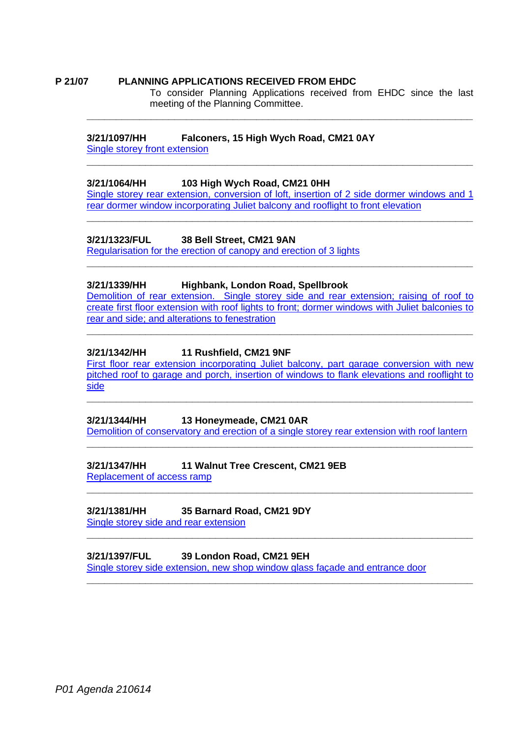#### **P 21/07 PLANNING APPLICATIONS RECEIVED FROM EHDC**

To consider Planning Applications received from EHDC since the last meeting of the Planning Committee.

#### **3/21/1097/HH Falconers, 15 High Wych Road, CM21 0AY**

[Single storey front extension](https://publicaccess.eastherts.gov.uk/online-applications/applicationDetails.do?activeTab=documents&keyVal=QS7YNJGLMC500)

#### **3/21/1064/HH 103 High Wych Road, CM21 0HH**

[Single storey rear extension, conversion of loft, insertion of 2 side dormer windows and 1](https://publicaccess.eastherts.gov.uk/online-applications/applicationDetails.do?activeTab=documents&keyVal=QS08XSGLM9L00)  [rear dormer window incorporating Juliet](https://publicaccess.eastherts.gov.uk/online-applications/applicationDetails.do?activeTab=documents&keyVal=QS08XSGLM9L00) balcony and rooflight to front elevation

**\_\_\_\_\_\_\_\_\_\_\_\_\_\_\_\_\_\_\_\_\_\_\_\_\_\_\_\_\_\_\_\_\_\_\_\_\_\_\_\_\_\_\_\_\_\_\_\_\_\_\_\_\_\_\_\_\_\_\_\_\_\_\_\_\_\_**

**\_\_\_\_\_\_\_\_\_\_\_\_\_\_\_\_\_\_\_\_\_\_\_\_\_\_\_\_\_\_\_\_\_\_\_\_\_\_\_\_\_\_\_\_\_\_\_\_\_\_\_\_\_\_\_\_\_\_\_\_\_\_\_\_\_\_**

**\_\_\_\_\_\_\_\_\_\_\_\_\_\_\_\_\_\_\_\_\_\_\_\_\_\_\_\_\_\_\_\_\_\_\_\_\_\_\_\_\_\_\_\_\_\_\_\_\_\_\_\_\_\_\_\_\_\_\_\_\_\_\_\_\_\_**

**\_\_\_\_\_\_\_\_\_\_\_\_\_\_\_\_\_\_\_\_\_\_\_\_\_\_\_\_\_\_\_\_\_\_\_\_\_\_\_\_\_\_\_\_\_\_\_\_\_\_\_\_\_\_\_\_\_\_\_\_\_\_\_\_\_\_**

#### **3/21/1323/FUL 38 Bell Street, CM21 9AN**

[Regularisation for the erection of canopy and erection of 3 lights](https://publicaccess.eastherts.gov.uk/online-applications/applicationDetails.do?activeTab=documents&keyVal=QT8ZZ6GLMQM00)

#### **3/21/1339/HH Highbank, London Road, Spellbrook**

[Demolition of rear extension. Single storey side and rear extension; raising of roof to](https://publicaccess.eastherts.gov.uk/online-applications/applicationDetails.do?activeTab=documents&keyVal=QTAJM6GLMRQ00)  [create first floor extension with roof lights to front; dormer windows with Juliet](https://publicaccess.eastherts.gov.uk/online-applications/applicationDetails.do?activeTab=documents&keyVal=QTAJM6GLMRQ00) balconies to [rear and side; and alterations](https://publicaccess.eastherts.gov.uk/online-applications/applicationDetails.do?activeTab=documents&keyVal=QTAJM6GLMRQ00) to fenestration

**\_\_\_\_\_\_\_\_\_\_\_\_\_\_\_\_\_\_\_\_\_\_\_\_\_\_\_\_\_\_\_\_\_\_\_\_\_\_\_\_\_\_\_\_\_\_\_\_\_\_\_\_\_\_\_\_\_\_\_\_\_\_\_\_\_\_**

#### **3/21/1342/HH 11 Rushfield, CM21 9NF**

[First floor rear extension incorporating Juliet](https://publicaccess.eastherts.gov.uk/online-applications/applicationDetails.do?activeTab=documents&keyVal=QTCPB5GLMRX00) balcony, part garage conversion with new [pitched roof to garage and porch, insertion of windows to flank elevations and rooflight to](https://publicaccess.eastherts.gov.uk/online-applications/applicationDetails.do?activeTab=documents&keyVal=QTCPB5GLMRX00)  [side](https://publicaccess.eastherts.gov.uk/online-applications/applicationDetails.do?activeTab=documents&keyVal=QTCPB5GLMRX00)

**\_\_\_\_\_\_\_\_\_\_\_\_\_\_\_\_\_\_\_\_\_\_\_\_\_\_\_\_\_\_\_\_\_\_\_\_\_\_\_\_\_\_\_\_\_\_\_\_\_\_\_\_\_\_\_\_\_\_\_\_\_\_\_\_\_\_**

#### **3/21/1344/HH 13 Honeymeade, CM21 0AR**

[Demolition of conservatory and erection of a single storey rear extension with roof lantern](https://publicaccess.eastherts.gov.uk/online-applications/applicationDetails.do?activeTab=documents&keyVal=QTCPBMGLMS100) **\_\_\_\_\_\_\_\_\_\_\_\_\_\_\_\_\_\_\_\_\_\_\_\_\_\_\_\_\_\_\_\_\_\_\_\_\_\_\_\_\_\_\_\_\_\_\_\_\_\_\_\_\_\_\_\_\_\_\_\_\_\_\_\_\_\_**

**\_\_\_\_\_\_\_\_\_\_\_\_\_\_\_\_\_\_\_\_\_\_\_\_\_\_\_\_\_\_\_\_\_\_\_\_\_\_\_\_\_\_\_\_\_\_\_\_\_\_\_\_\_\_\_\_\_\_\_\_\_\_\_\_\_\_**

**\_\_\_\_\_\_\_\_\_\_\_\_\_\_\_\_\_\_\_\_\_\_\_\_\_\_\_\_\_\_\_\_\_\_\_\_\_\_\_\_\_\_\_\_\_\_\_\_\_\_\_\_\_\_\_\_\_\_\_\_\_\_\_\_\_\_**

**\_\_\_\_\_\_\_\_\_\_\_\_\_\_\_\_\_\_\_\_\_\_\_\_\_\_\_\_\_\_\_\_\_\_\_\_\_\_\_\_\_\_\_\_\_\_\_\_\_\_\_\_\_\_\_\_\_\_\_\_\_\_\_\_\_\_**

# **3/21/1347/HH 11 Walnut Tree Crescent, CM21 9EB**

[Replacement of access ramp](https://publicaccess.eastherts.gov.uk/online-applications/applicationDetails.do?activeTab=documents&keyVal=QTCPCEGLMS700)

## **3/21/1381/HH 35 Barnard Road, CM21 9DY**

[Single storey side and rear extension](https://publicaccess.eastherts.gov.uk/online-applications/applicationDetails.do?activeTab=documents&keyVal=QTIKE9GLMV100)

#### **3/21/1397/FUL 39 London Road, CM21 9EH**

[Single storey side extension, new shop window glass façade](https://publicaccess.eastherts.gov.uk/online-applications/applicationDetails.do?activeTab=documents&keyVal=QTNINRGLMW700) and entrance door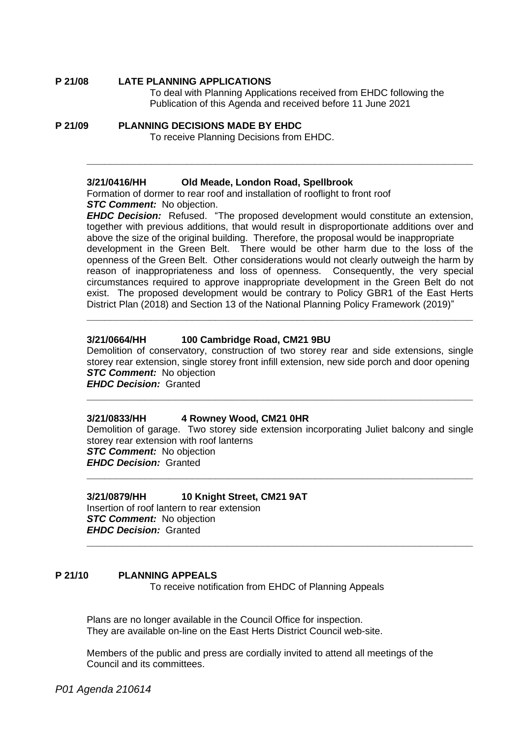#### **P 21/08 LATE PLANNING APPLICATIONS**

To deal with Planning Applications received from EHDC following the Publication of this Agenda and received before 11 June 2021

**P 21/09 PLANNING DECISIONS MADE BY EHDC** To receive Planning Decisions from EHDC.

#### **3/21/0416/HH Old Meade, London Road, Spellbrook**

Formation of dormer to rear roof and installation of rooflight to front roof *STC Comment:* No objection.

*EHDC Decision:* Refused. "The proposed development would constitute an extension, together with previous additions, that would result in disproportionate additions over and above the size of the original building. Therefore, the proposal would be inappropriate development in the Green Belt. There would be other harm due to the loss of the openness of the Green Belt. Other considerations would not clearly outweigh the harm by reason of inappropriateness and loss of openness. Consequently, the very special circumstances required to approve inappropriate development in the Green Belt do not exist. The proposed development would be contrary to Policy GBR1 of the East Herts District Plan (2018) and Section 13 of the National Planning Policy Framework (2019)"

**\_\_\_\_\_\_\_\_\_\_\_\_\_\_\_\_\_\_\_\_\_\_\_\_\_\_\_\_\_\_\_\_\_\_\_\_\_\_\_\_\_\_\_\_\_\_\_\_\_\_\_\_\_\_\_\_\_\_\_\_\_\_\_\_\_\_**

#### **3/21/0664/HH 100 Cambridge Road, CM21 9BU**

Demolition of conservatory, construction of two storey rear and side extensions, single storey rear extension, single storey front infill extension, new side porch and door opening *STC Comment:* No objection *EHDC Decision:* Granted

**\_\_\_\_\_\_\_\_\_\_\_\_\_\_\_\_\_\_\_\_\_\_\_\_\_\_\_\_\_\_\_\_\_\_\_\_\_\_\_\_\_\_\_\_\_\_\_\_\_\_\_\_\_\_\_\_\_\_\_\_\_\_\_\_\_\_**

**\_\_\_\_\_\_\_\_\_\_\_\_\_\_\_\_\_\_\_\_\_\_\_\_\_\_\_\_\_\_\_\_\_\_\_\_\_\_\_\_\_\_\_\_\_\_\_\_\_\_\_\_\_\_\_\_\_\_\_\_\_\_\_\_\_\_**

#### **3/21/0833/HH 4 Rowney Wood, CM21 0HR**

Demolition of garage. Two storey side extension incorporating Juliet balcony and single storey rear extension with roof lanterns *STC Comment:* No objection *EHDC Decision:* Granted

**\_\_\_\_\_\_\_\_\_\_\_\_\_\_\_\_\_\_\_\_\_\_\_\_\_\_\_\_\_\_\_\_\_\_\_\_\_\_\_\_\_\_\_\_\_\_\_\_\_\_\_\_\_\_\_\_\_\_\_\_\_\_\_\_\_\_**

**\_\_\_\_\_\_\_\_\_\_\_\_\_\_\_\_\_\_\_\_\_\_\_\_\_\_\_\_\_\_\_\_\_\_\_\_\_\_\_\_\_\_\_\_\_\_\_\_\_\_\_\_\_\_\_\_\_\_\_\_\_\_\_\_\_\_**

# **3/21/0879/HH 10 Knight Street, CM21 9AT**

Insertion of roof lantern to rear extension *STC Comment:* No objection *EHDC Decision:* Granted

#### **P 21/10 PLANNING APPEALS**

To receive notification from EHDC of Planning Appeals

Plans are no longer available in the Council Office for inspection. They are available on-line on the East Herts District Council web-site.

Members of the public and press are cordially invited to attend all meetings of the Council and its committees.